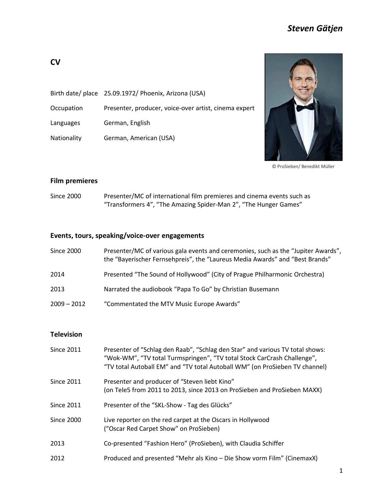# *Steven Gätjen*

|             | Birth date/ place 25.09.1972/ Phoenix, Arizona (USA)  |
|-------------|-------------------------------------------------------|
| Occupation  | Presenter, producer, voice-over artist, cinema expert |
| Languages   | German, English                                       |
| Nationality | German, American (USA)                                |



© ProSieben/ Benedikt Müller

#### **Film premieres**

Since 2000 Presenter/MC of international film premieres and cinema events such as "Transformers 4", "The Amazing Spider-Man 2", "The Hunger Games"

## **Events, tours, speaking/voice-over engagements**

| Since 2000    | Presenter/MC of various gala events and ceremonies, such as the "Jupiter Awards",<br>the "Bayerischer Fernsehpreis", the "Laureus Media Awards" and "Best Brands" |
|---------------|-------------------------------------------------------------------------------------------------------------------------------------------------------------------|
| 2014          | Presented "The Sound of Hollywood" (City of Prague Philharmonic Orchestra)                                                                                        |
| 2013          | Narrated the audiobook "Papa To Go" by Christian Busemann                                                                                                         |
| $2009 - 2012$ | "Commentated the MTV Music Europe Awards"                                                                                                                         |

## **Television**

| <b>Since 2011</b> | Presenter of "Schlag den Raab", "Schlag den Star" and various TV total shows:<br>"Wok-WM", "TV total Turmspringen", "TV total Stock CarCrash Challenge",<br>"TV total Autoball EM" and "TV total Autoball WM" (on ProSieben TV channel) |
|-------------------|-----------------------------------------------------------------------------------------------------------------------------------------------------------------------------------------------------------------------------------------|
| <b>Since 2011</b> | Presenter and producer of "Steven liebt Kino"<br>(on Tele5 from 2011 to 2013, since 2013 on ProSieben and ProSieben MAXX)                                                                                                               |
| <b>Since 2011</b> | Presenter of the "SKL-Show - Tag des Glücks"                                                                                                                                                                                            |
| Since 2000        | Live reporter on the red carpet at the Oscars in Hollywood<br>("Oscar Red Carpet Show" on ProSieben)                                                                                                                                    |
| 2013              | Co-presented "Fashion Hero" (ProSieben), with Claudia Schiffer                                                                                                                                                                          |
| 2012              | Produced and presented "Mehr als Kino – Die Show vorm Film" (CinemaxX)                                                                                                                                                                  |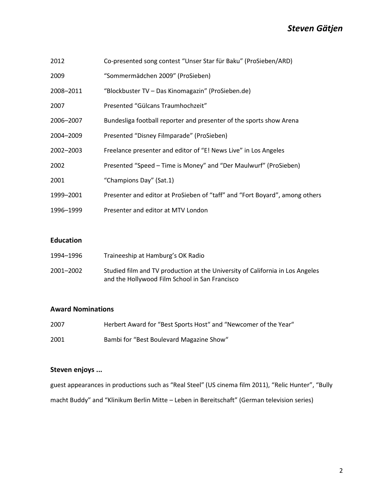| 2012      | Co-presented song contest "Unser Star für Baku" (ProSieben/ARD)             |
|-----------|-----------------------------------------------------------------------------|
| 2009      | "Sommermädchen 2009" (ProSieben)                                            |
| 2008-2011 | "Blockbuster TV - Das Kinomagazin" (ProSieben.de)                           |
| 2007      | Presented "Gülcans Traumhochzeit"                                           |
| 2006-2007 | Bundesliga football reporter and presenter of the sports show Arena         |
| 2004-2009 | Presented "Disney Filmparade" (ProSieben)                                   |
| 2002-2003 | Freelance presenter and editor of "E! News Live" in Los Angeles             |
| 2002      | Presented "Speed - Time is Money" and "Der Maulwurf" (ProSieben)            |
| 2001      | "Champions Day" (Sat.1)                                                     |
| 1999-2001 | Presenter and editor at ProSieben of "taff" and "Fort Boyard", among others |
| 1996-1999 | Presenter and editor at MTV London                                          |

#### **Education**

| 1994–1996 | Traineeship at Hamburg's OK Radio                                                                                               |
|-----------|---------------------------------------------------------------------------------------------------------------------------------|
| 2001-2002 | Studied film and TV production at the University of California in Los Angeles<br>and the Hollywood Film School in San Francisco |

### **Award Nominations**

| 2007 | Herbert Award for "Best Sports Host" and "Newcomer of the Year" |
|------|-----------------------------------------------------------------|
| 2001 | Bambi for "Best Boulevard Magazine Show"                        |

### **Steven enjoys ...**

guest appearances in productions such as "Real Steel" (US cinema film 2011), "Relic Hunter", "Bully macht Buddy" and "Klinikum Berlin Mitte – Leben in Bereitschaft" (German television series)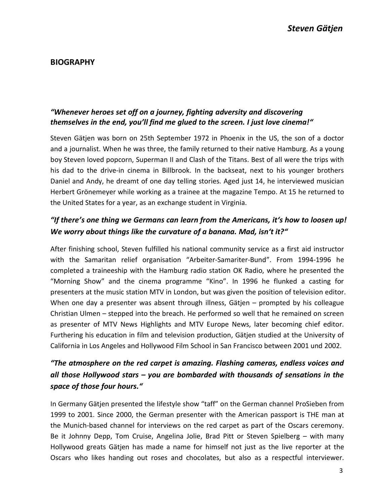## **BIOGRAPHY**

## *"Whenever heroes set off on a journey, fighting adversity and discovering themselves in the end, you'll find me glued to the screen. I just love cinema!"*

Steven Gätjen was born on 25th September 1972 in Phoenix in the US, the son of a doctor and a journalist. When he was three, the family returned to their native Hamburg. As a young boy Steven loved popcorn, Superman II and Clash of the Titans. Best of all were the trips with his dad to the drive-in cinema in Billbrook. In the backseat, next to his younger brothers Daniel and Andy, he dreamt of one day telling stories. Aged just 14, he interviewed musician Herbert Grönemeyer while working as a trainee at the magazine Tempo. At 15 he returned to the United States for a year, as an exchange student in Virginia.

# *"If there's one thing we Germans can learn from the Americans, it's how to loosen up! We worry about things like the curvature of a banana. Mad, isn't it?"*

After finishing school, Steven fulfilled his national community service as a first aid instructor with the Samaritan relief organisation "Arbeiter-Samariter-Bund". From 1994-1996 he completed a traineeship with the Hamburg radio station OK Radio, where he presented the "Morning Show" and the cinema programme "Kino". In 1996 he flunked a casting for presenters at the music station MTV in London, but was given the position of television editor. When one day a presenter was absent through illness, Gätjen – prompted by his colleague Christian Ulmen – stepped into the breach. He performed so well that he remained on screen as presenter of MTV News Highlights and MTV Europe News, later becoming chief editor. Furthering his education in film and television production, Gätjen studied at the University of California in Los Angeles and Hollywood Film School in San Francisco between 2001 und 2002.

# *"The atmosphere on the red carpet is amazing. Flashing cameras, endless voices and all those Hollywood stars – you are bombarded with thousands of sensations in the space of those four hours."*

In Germany Gätjen presented the lifestyle show "taff" on the German channel ProSieben from 1999 to 2001. Since 2000, the German presenter with the American passport is THE man at the Munich-based channel for interviews on the red carpet as part of the Oscars ceremony. Be it Johnny Depp, Tom Cruise, Angelina Jolie, Brad Pitt or Steven Spielberg – with many Hollywood greats Gätjen has made a name for himself not just as the live reporter at the Oscars who likes handing out roses and chocolates, but also as a respectful interviewer.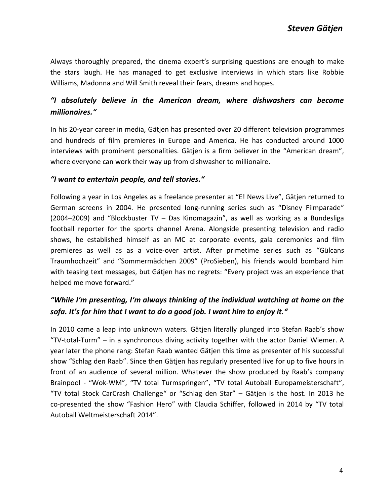Always thoroughly prepared, the cinema expert's surprising questions are enough to make the stars laugh. He has managed to get exclusive interviews in which stars like Robbie Williams, Madonna and Will Smith reveal their fears, dreams and hopes.

# *"I absolutely believe in the American dream, where dishwashers can become millionaires."*

In his 20-year career in media, Gätjen has presented over 20 different television programmes and hundreds of film premieres in Europe and America. He has conducted around 1000 interviews with prominent personalities. Gätjen is a firm believer in the "American dream", where everyone can work their way up from dishwasher to millionaire.

#### *"I want to entertain people, and tell stories."*

Following a year in Los Angeles as a freelance presenter at "E! News Live", Gätjen returned to German screens in 2004. He presented long-running series such as "Disney Filmparade" (2004–2009) and "Blockbuster TV – Das Kinomagazin", as well as working as a Bundesliga football reporter for the sports channel Arena. Alongside presenting television and radio shows, he established himself as an MC at corporate events, gala ceremonies and film premieres as well as as a voice-over artist. After primetime series such as "Gülcans Traumhochzeit" and "Sommermädchen 2009" (ProSieben), his friends would bombard him with teasing text messages, but Gätjen has no regrets: "Every project was an experience that helped me move forward."

# *"While I'm presenting, I'm always thinking of the individual watching at home on the sofa. It's for him that I want to do a good job. I want him to enjoy it."*

In 2010 came a leap into unknown waters. Gätjen literally plunged into Stefan Raab's show "TV-total-Turm" – in a synchronous diving activity together with the actor Daniel Wiemer. A year later the phone rang: Stefan Raab wanted Gätjen this time as presenter of his successful show "Schlag den Raab". Since then Gätjen has regularly presented live for up to five hours in front of an audience of several million. Whatever the show produced by Raab's company Brainpool - "Wok-WM", "TV total Turmspringen", "TV total Autoball Europameisterschaft", "TV total Stock CarCrash Challenge" or "Schlag den Star" – Gätjen is the host. In 2013 he co-presented the show "Fashion Hero" with Claudia Schiffer, followed in 2014 by "TV total Autoball Weltmeisterschaft 2014".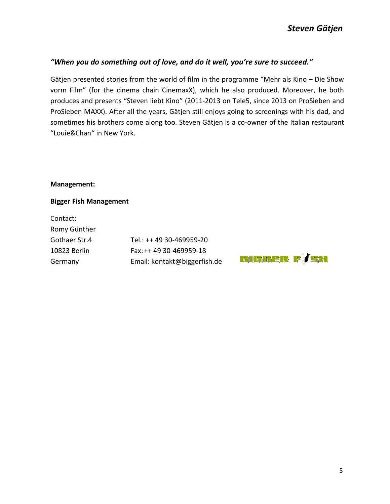### *"When you do something out of love, and do it well, you're sure to succeed."*

Gätjen presented stories from the world of film in the programme "Mehr als Kino – Die Show vorm Film" (for the cinema chain CinemaxX), which he also produced. Moreover, he both produces and presents "Steven liebt Kino" (2011-2013 on Tele5, since 2013 on ProSieben and ProSieben MAXX). After all the years, Gätjen still enjoys going to screenings with his dad, and sometimes his brothers come along too. Steven Gätjen is a co-owner of the Italian restaurant "Louie&Chan" in New York.

#### **Management:**

#### **Bigger Fish Management**

Contact: Romy Günther

Gothaer Str.4 Tel.: ++ 49 30-469959-20 10823 Berlin Fax:++ 49 30-469959-18 Germany Email: kontakt@biggerfish.de

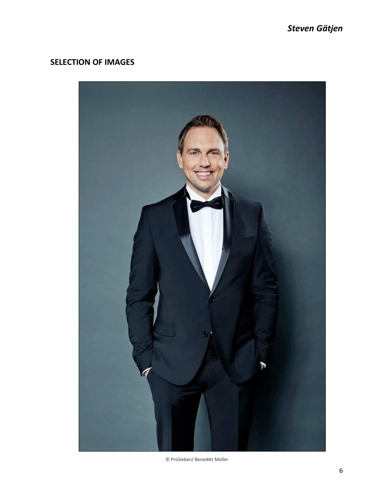# **SELECTION OF IMAGES**



© ProSieben/ Benedikt Müller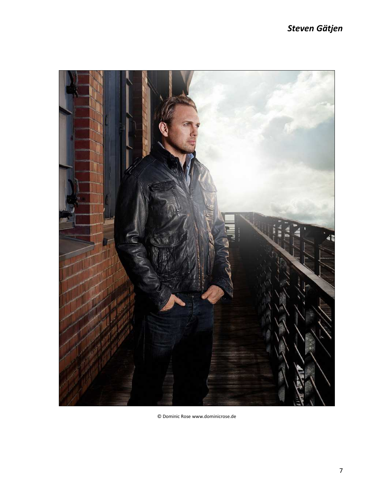# *Steven Gätjen*



© Dominic Rose www.dominicrose.de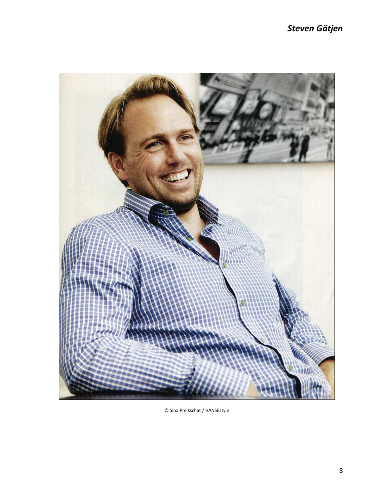# *Steven Gätjen*



© Sina Preikschat / HANSEstyle